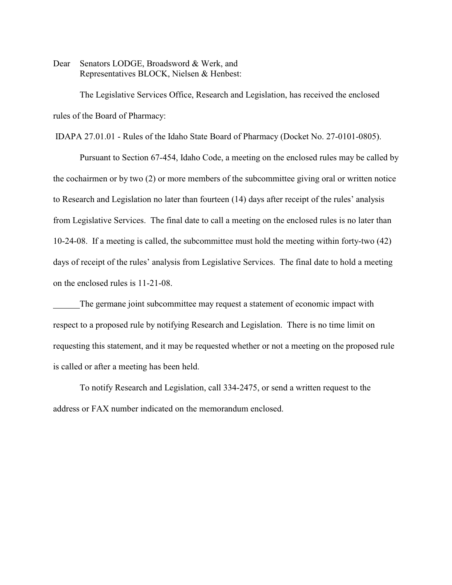Dear Senators LODGE, Broadsword & Werk, and Representatives BLOCK, Nielsen & Henbest:

The Legislative Services Office, Research and Legislation, has received the enclosed rules of the Board of Pharmacy:

IDAPA 27.01.01 - Rules of the Idaho State Board of Pharmacy (Docket No. 27-0101-0805).

Pursuant to Section 67-454, Idaho Code, a meeting on the enclosed rules may be called by the cochairmen or by two (2) or more members of the subcommittee giving oral or written notice to Research and Legislation no later than fourteen (14) days after receipt of the rules' analysis from Legislative Services. The final date to call a meeting on the enclosed rules is no later than 10-24-08. If a meeting is called, the subcommittee must hold the meeting within forty-two (42) days of receipt of the rules' analysis from Legislative Services. The final date to hold a meeting on the enclosed rules is 11-21-08.

The germane joint subcommittee may request a statement of economic impact with respect to a proposed rule by notifying Research and Legislation. There is no time limit on requesting this statement, and it may be requested whether or not a meeting on the proposed rule is called or after a meeting has been held.

To notify Research and Legislation, call 334-2475, or send a written request to the address or FAX number indicated on the memorandum enclosed.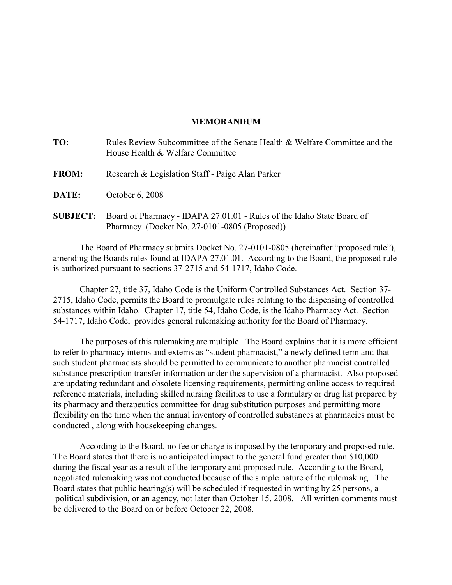# **MEMORANDUM**

| TO:             | Rules Review Subcommittee of the Senate Health & Welfare Committee and the<br>House Health & Welfare Committee          |
|-----------------|-------------------------------------------------------------------------------------------------------------------------|
| <b>FROM:</b>    | Research & Legislation Staff - Paige Alan Parker                                                                        |
| DATE:           | October 6, 2008                                                                                                         |
| <b>SUBJECT:</b> | Board of Pharmacy - IDAPA 27.01.01 - Rules of the Idaho State Board of<br>Pharmacy (Docket No. 27-0101-0805 (Proposed)) |

The Board of Pharmacy submits Docket No. 27-0101-0805 (hereinafter "proposed rule"), amending the Boards rules found at IDAPA 27.01.01. According to the Board, the proposed rule is authorized pursuant to sections 37-2715 and 54-1717, Idaho Code.

Chapter 27, title 37, Idaho Code is the Uniform Controlled Substances Act. Section 37- 2715, Idaho Code, permits the Board to promulgate rules relating to the dispensing of controlled substances within Idaho. Chapter 17, title 54, Idaho Code, is the Idaho Pharmacy Act. Section 54-1717, Idaho Code, provides general rulemaking authority for the Board of Pharmacy.

The purposes of this rulemaking are multiple. The Board explains that it is more efficient to refer to pharmacy interns and externs as "student pharmacist," a newly defined term and that such student pharmacists should be permitted to communicate to another pharmacist controlled substance prescription transfer information under the supervision of a pharmacist. Also proposed are updating redundant and obsolete licensing requirements, permitting online access to required reference materials, including skilled nursing facilities to use a formulary or drug list prepared by its pharmacy and therapeutics committee for drug substitution purposes and permitting more flexibility on the time when the annual inventory of controlled substances at pharmacies must be conducted , along with housekeeping changes.

According to the Board, no fee or charge is imposed by the temporary and proposed rule. The Board states that there is no anticipated impact to the general fund greater than \$10,000 during the fiscal year as a result of the temporary and proposed rule. According to the Board, negotiated rulemaking was not conducted because of the simple nature of the rulemaking. The Board states that public hearing(s) will be scheduled if requested in writing by 25 persons, a political subdivision, or an agency, not later than October 15, 2008. All written comments must be delivered to the Board on or before October 22, 2008.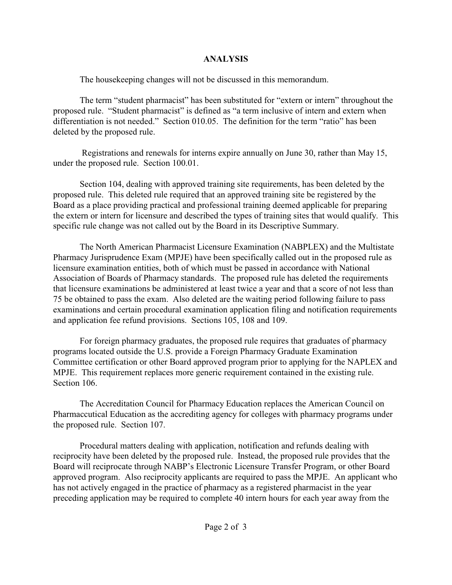# **ANALYSIS**

The housekeeping changes will not be discussed in this memorandum.

The term "student pharmacist" has been substituted for "extern or intern" throughout the proposed rule. "Student pharmacist" is defined as "a term inclusive of intern and extern when differentiation is not needed." Section 010.05. The definition for the term "ratio" has been deleted by the proposed rule.

 Registrations and renewals for interns expire annually on June 30, rather than May 15, under the proposed rule. Section 100.01.

Section 104, dealing with approved training site requirements, has been deleted by the proposed rule. This deleted rule required that an approved training site be registered by the Board as a place providing practical and professional training deemed applicable for preparing the extern or intern for licensure and described the types of training sites that would qualify. This specific rule change was not called out by the Board in its Descriptive Summary.

The North American Pharmacist Licensure Examination (NABPLEX) and the Multistate Pharmacy Jurisprudence Exam (MPJE) have been specifically called out in the proposed rule as licensure examination entities, both of which must be passed in accordance with National Association of Boards of Pharmacy standards. The proposed rule has deleted the requirements that licensure examinations be administered at least twice a year and that a score of not less than 75 be obtained to pass the exam. Also deleted are the waiting period following failure to pass examinations and certain procedural examination application filing and notification requirements and application fee refund provisions. Sections 105, 108 and 109.

For foreign pharmacy graduates, the proposed rule requires that graduates of pharmacy programs located outside the U.S. provide a Foreign Pharmacy Graduate Examination Committee certification or other Board approved program prior to applying for the NAPLEX and MPJE. This requirement replaces more generic requirement contained in the existing rule. Section 106.

The Accreditation Council for Pharmacy Education replaces the American Council on Pharmaccutical Education as the accrediting agency for colleges with pharmacy programs under the proposed rule. Section 107.

Procedural matters dealing with application, notification and refunds dealing with reciprocity have been deleted by the proposed rule. Instead, the proposed rule provides that the Board will reciprocate through NABP's Electronic Licensure Transfer Program, or other Board approved program. Also reciprocity applicants are required to pass the MPJE. An applicant who has not actively engaged in the practice of pharmacy as a registered pharmacist in the year preceding application may be required to complete 40 intern hours for each year away from the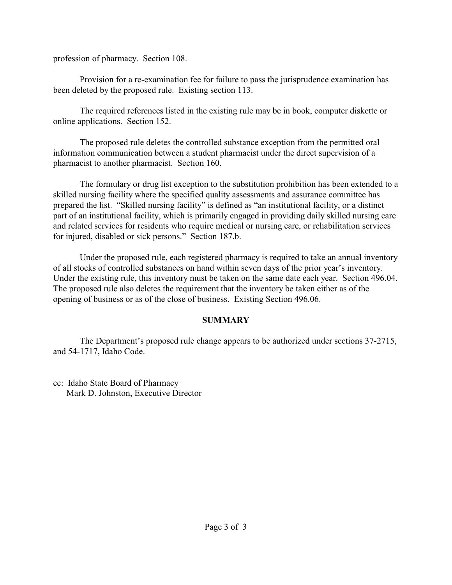profession of pharmacy. Section 108.

Provision for a re-examination fee for failure to pass the jurisprudence examination has been deleted by the proposed rule. Existing section 113.

The required references listed in the existing rule may be in book, computer diskette or online applications. Section 152.

The proposed rule deletes the controlled substance exception from the permitted oral information communication between a student pharmacist under the direct supervision of a pharmacist to another pharmacist. Section 160.

The formulary or drug list exception to the substitution prohibition has been extended to a skilled nursing facility where the specified quality assessments and assurance committee has prepared the list. "Skilled nursing facility" is defined as "an institutional facility, or a distinct part of an institutional facility, which is primarily engaged in providing daily skilled nursing care and related services for residents who require medical or nursing care, or rehabilitation services for injured, disabled or sick persons." Section 187.b.

Under the proposed rule, each registered pharmacy is required to take an annual inventory of all stocks of controlled substances on hand within seven days of the prior year's inventory. Under the existing rule, this inventory must be taken on the same date each year. Section 496.04. The proposed rule also deletes the requirement that the inventory be taken either as of the opening of business or as of the close of business. Existing Section 496.06.

# **SUMMARY**

The Department's proposed rule change appears to be authorized under sections 37-2715, and 54-1717, Idaho Code.

cc: Idaho State Board of Pharmacy Mark D. Johnston, Executive Director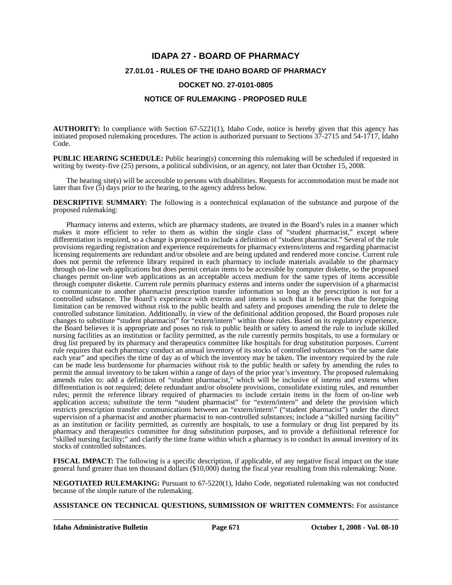# **IDAPA 27 - BOARD OF PHARMACY 27.01.01 - RULES OF THE IDAHO BOARD OF PHARMACY DOCKET NO. 27-0101-0805**

# **NOTICE OF RULEMAKING - PROPOSED RULE**

**AUTHORITY:** In compliance with Section 67-5221(1), Idaho Code, notice is hereby given that this agency has initiated proposed rulemaking procedures. The action is authorized pursuant to Sections 37-2715 and 54-1717, Idaho Code.

**PUBLIC HEARING SCHEDULE:** Public hearing(s) concerning this rulemaking will be scheduled if requested in writing by twenty-five (25) persons, a political subdivision, or an agency, not later than October 15, 2008.

The hearing site(s) will be accessible to persons with disabilities. Requests for accommodation must be made not later than five  $(5)$  days prior to the hearing, to the agency address below.

**DESCRIPTIVE SUMMARY:** The following is a nontechnical explanation of the substance and purpose of the proposed rulemaking:

Pharmacy interns and externs, which are pharmacy students, are treated in the Board's rules in a manner which makes it more efficient to refer to them as within the single class of "student pharmacist," except where differentiation is required, so a change is proposed to include a definition of "student pharmacist." Several of the rule provisions regarding registration and experience requirements for pharmacy externs/interns and regarding pharmacist licensing requirements are redundant and/or obsolete and are being updated and rendered more concise. Current rule does not permit the reference library required in each pharmacy to include materials available to the pharmacy through on-line web applications but does permit certain items to be accessible by computer diskette, so the proposed changes permit on-line web applications as an acceptable access medium for the same types of items accessible through computer diskette. Current rule permits pharmacy externs and interns under the supervision of a pharmacist to communicate to another pharmacist prescription transfer information so long as the prescription is not for a controlled substance. The Board's experience with externs and interns is such that it believes that the foregoing limitation can be removed without risk to the public health and safety and proposes amending the rule to delete the controlled substance limitation. Additionally, in view of the definitional addition proposed, the Board proposes rule changes to substitute "student pharmacist" for "extern/intern" within those rules. Based on its regulatory experience, the Board believes it is appropriate and poses no risk to public health or safety to amend the rule to include skilled nursing facilities as an institution or facility permitted, as the rule currently permits hospitals, to use a formulary or drug list prepared by its pharmacy and therapeutics committee like hospitals for drug substitution purposes. Current rule requires that each pharmacy conduct an annual inventory of its stocks of controlled substances "on the same date each year" and specifies the time of day as of which the inventory may be taken. The inventory required by the rule can be made less burdensome for pharmacies without risk to the public health or safety by amending the rules to permit the annual inventory to be taken within a range of days of the prior year's inventory. The proposed rulemaking amends rules to: add a definition of "student pharmacist," which will be inclusive of interns and externs when differentiation is not required; delete redundant and/or obsolete provisions, consolidate existing rules, and renumber rules; permit the reference library required of pharmacies to include certain items in the form of on-line web application access; substitute the term "student pharmacist" for "extern/intern" and delete the provision which restricts prescription transfer communications between an "extern/intern\" ("student pharmacist") under the direct supervision of a pharmacist and another pharmacist to non-controlled substances; include a "skilled nursing facility" as an institution or facility permitted, as currently are hospitals, to use a formulary or drug list prepared by its pharmacy and therapeutics committee for drug substitution purposes, and to provide a definitional reference for "skilled nursing facility;" and clarify the time frame within which a pharmacy is to conduct its annual inventory of its stocks of controlled substances.

**FISCAL IMPACT:** The following is a specific description, if applicable, of any negative fiscal impact on the state general fund greater than ten thousand dollars (\$10,000) during the fiscal year resulting from this rulemaking: None.

**NEGOTIATED RULEMAKING:** Pursuant to 67-5220(1), Idaho Code, negotiated rulemaking was not conducted because of the simple nature of the rulemaking.

**ASSISTANCE ON TECHNICAL QUESTIONS, SUBMISSION OF WRITTEN COMMENTS:** For assistance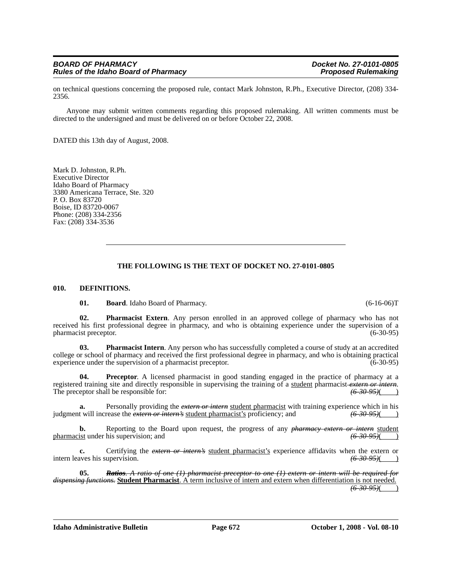on technical questions concerning the proposed rule, contact Mark Johnston, R.Ph., Executive Director, (208) 334- 2356.

Anyone may submit written comments regarding this proposed rulemaking. All written comments must be directed to the undersigned and must be delivered on or before October 22, 2008.

DATED this 13th day of August, 2008.

Mark D. Johnston, R.Ph. Executive Director Idaho Board of Pharmacy 3380 Americana Terrace, Ste. 320 P. O. Box 83720 Boise, ID 83720-0067 Phone: (208) 334-2356 Fax: (208) 334-3536

# **THE FOLLOWING IS THE TEXT OF DOCKET NO. 27-0101-0805**

#### **010. DEFINITIONS.**

**01. Board**. Idaho Board of Pharmacy. (6-16-06)T

**02. Pharmacist Extern**. Any person enrolled in an approved college of pharmacy who has not received his first professional degree in pharmacy, and who is obtaining experience under the supervision of a pharmacist preceptor. (6-30-95) pharmacist preceptor.

**03. Pharmacist Intern**. Any person who has successfully completed a course of study at an accredited college or school of pharmacy and received the first professional degree in pharmacy, and who is obtaining practical experience under the supervision of a pharmacist preceptor. (6-30-95)

**04. Preceptor**. A licensed pharmacist in good standing engaged in the practice of pharmacy at a registered training site and directly responsible in supervising the training of a student pharmacist *extern or intern*. The preceptor shall be responsible for:  $\left(6\text{-}30\text{-}95\right)$  (b)

**a.** Personally providing the *extern or intern* student pharmacist with training experience which in his judgment will increase the *extern or intern's* student pharmacist's proficiency; and *(6-30-95)*( )

**b.** Reporting to the Board upon request, the progress of any *pharmacy extern or intern* student pharmacist under his supervision; and **(6-30-95)** (6-30-95)

**c.** Certifying the *extern or intern's* student pharmacist's experience affidavits when the extern or intern leaves his supervision. *(6-30-95)* 

**05.** *Ratios. A ratio of one (1) pharmacist preceptor to one (1) extern or intern will be required for dispensing functions.* **Student Pharmacist**. A term inclusive of intern and extern when differentiation is not needed. *(6-30-95)*( )

**Idaho Administrative Bulletin Page 672 October 1, 2008 - Vol. 08-10**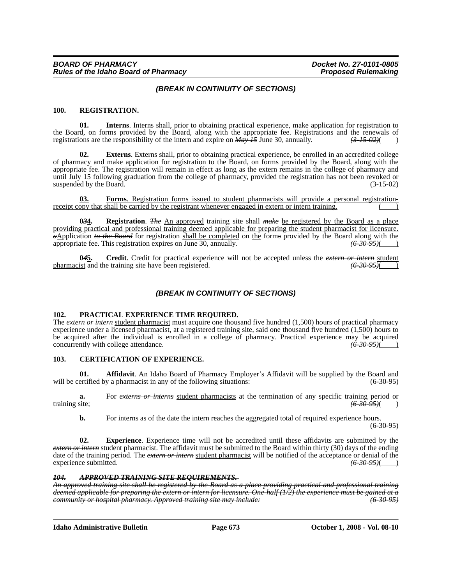# *(BREAK IN CONTINUITY OF SECTIONS)*

#### **100. REGISTRATION.**

**01. Interns**. Interns shall, prior to obtaining practical experience, make application for registration to the Board, on forms provided by the Board, along with the appropriate fee. Registrations and the renewals of registrations are the responsibility of the intern and expire on *May 15* June 30, annually. *(3-15-02)*( )

**02. Externs**. Externs shall, prior to obtaining practical experience, be enrolled in an accredited college of pharmacy and make application for registration to the Board, on forms provided by the Board, along with the appropriate fee. The registration will remain in effect as long as the extern remains in the college of pharmacy and until July 15 following graduation from the college of pharmacy, provided the registration has not been revoked or suspended by the Board.  $(3-15-02)$ 

**03. Forms**. Registration forms issued to student pharmacists will provide a personal registrationreceipt copy that shall be carried by the registrant whenever engaged in extern or intern training.

**0***3***4. Registration**. *The* An approved training site shall *make* be registered by the Board as a place providing practical and professional training deemed applicable for preparing the student pharmacist for licensure. *a*Application *to the Board* for registration shall be completed on the form*s* provided by the Board along with the appropriate fee. This registration expires on June 30, annually. *(6-30-95)*( )

**0***4***5. Credit**. Credit for practical experience will not be accepted unless the *extern or intern* student pharmacist and the training site have been registered.  $(6-30-95)$ (

# *(BREAK IN CONTINUITY OF SECTIONS)*

#### **102. PRACTICAL EXPERIENCE TIME REQUIRED.**

The *extern or intern* student pharmacist must acquire one thousand five hundred (1,500) hours of practical pharmacy experience under a licensed pharmacist, at a registered training site, said one thousand five hundred (1,500) hours to be acquired after the individual is enrolled in a college of pharmacy. Practical experience may be acquired concurrently with college attendance.  $(6-30-95)$  (b) concurrently with college attendance.

#### **103. CERTIFICATION OF EXPERIENCE.**

**01. Affidavit**. An Idaho Board of Pharmacy Employer's Affidavit will be supplied by the Board and will be certified by a pharmacist in any of the following situations: (6-30-95) (6-30-95)

**a.** For *externs or interns* <u>student pharmacists</u> at the termination of any specific training period or training site;  $(6-30-95)$  (b) training site; *(6-30-95)*( )

**b.** For interns as of the date the intern reaches the aggregated total of required experience hours. (6-30-95)

**02. Experience**. Experience time will not be accredited until these affidavits are submitted by the *extern or intern* student pharmacist. The affidavit must be submitted to the Board within thirty (30) days of the ending date of the training period. The *extern or intern* student pharmacist will be notified of the acceptance or denial of the experience submitted. (6-30-95)(10) experience submitted. *(6-30-95)*( )

#### *104. APPROVED TRAINING SITE REQUIREMENTS.*

*An approved training site shall be registered by the Board as a place providing practical and professional training deemed applicable for preparing the extern or intern for licensure. One-half (1/2) the experience must be gained at a community or hospital pharmacy. Approved training site may include: (6-30-95)*

**Idaho Administrative Bulletin Page 673 October 1, 2008 - Vol. 08-10**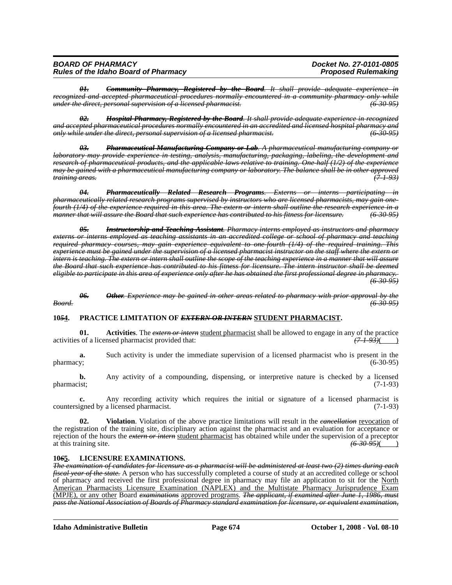| <b>BOARD OF PHARMACY</b>                    | Docket No. 27-0101-0805    |
|---------------------------------------------|----------------------------|
| <b>Rules of the Idaho Board of Pharmacy</b> | <b>Proposed Rulemaking</b> |

*01. Community Pharmacy, Registered by the Board. It shall provide adequate experience in recognized and accepted pharmaceutical procedures normally encountered in a community pharmacy only while under the direct, personal supervision of a licensed pharmacist. (6-30-95)*

*02. Hospital Pharmacy, Registered by the Board. It shall provide adequate experience in recognized and accepted pharmaceutical procedures normally encountered in an accredited and licensed hospital pharmacy and only while under the direct, personal supervision of a licensed pharmacist. (6-30-95)*

*03. Pharmaceutical Manufacturing Company or Lab. A pharmaceutical manufacturing company or laboratory may provide experience in testing, analysis, manufacturing, packaging, labeling, the development and research of pharmaceutical products, and the applicable laws relative to training. One-half (1/2) of the experience may be gained with a pharmaceutical manufacturing company or laboratory. The balance shall be in other approved*  $$ 

*04. Pharmaceutically Related Research Programs. Externs or interns participating in pharmaceutically related research programs supervised by instructors who are licensed pharmacists, may gain onefourth (1/4) of the experience required in this area. The extern or intern shall outline the research experience in a manner that will assure the Board that such experience has contributed to his fitness for licensure. (6-30-95)*

*05. Instructorship and Teaching Assistant. Pharmacy interns employed as instructors and pharmacy externs or interns employed as teaching assistants in an accredited college or school of pharmacy and teaching required pharmacy courses, may gain experience equivalent to one-fourth (1/4) of the required training. This experience must be gained under the supervision of a licensed pharmacist instructor on the staff where the extern or intern is teaching. The extern or intern shall outline the scope of the teaching experience in a manner that will assure the Board that such experience has contributed to his fitness for licensure. The intern instructor shall be deemed eligible to participate in this area of experience only after he has obtained the first professional degree in pharmacy. (6-30-95)*

#### *06. Other. Experience may be gained in other areas related to pharmacy with prior approval by the Board. (6-30-95)*

#### **10***5***4. PRACTICE LIMITATION OF** *EXTERN OR INTERN* **STUDENT PHARMACIST.**

**01.** Activities. The *extern or intern* student pharmacist shall be allowed to engage in any of the practice is of a licensed pharmacist provided that:  $(71.93)($ activities of a licensed pharmacist provided that:

**a.** Such activity is under the immediate supervision of a licensed pharmacist who is present in the pharmacy; (6-30-95)

**b.** Any activity of a compounding, dispensing, or interpretive nature is checked by a licensed pharmacist; (7-1-93)

**c.** Any recording activity which requires the initial or signature of a licensed pharmacist is countersigned by a licensed pharmacist. (7-1-93)

**02. Violation**. Violation of the above practice limitations will result in the *cancellation* revocation of the registration of the training site, disciplinary action against the pharmacist and an evaluation for acceptance or rejection of the hours the *extern or intern* student pharmacist has obtained while under the supervision of a preceptor at this training site. (6-30-95)( at this training site. *(6-30-95)*( )

## **10***6***5. LICENSURE EXAMINATIONS.**

*The examination of candidates for licensure as a pharmacist will be administered at least two (2) times during each fiscal year of the state.* A person who has successfully completed a course of study at an accredited college or school of pharmacy and received the first professional degree in pharmacy may file an application to sit for the North American Pharmacists Licensure Examination (NAPLEX) and the Multistate Pharmacy Jurisprudence Exam (MPJE), or any other Board *examinations* approved programs. *The applicant, if examined after June 1, 1986, must pass the National Association of Boards of Pharmacy standard examination for licensure, or equivalent examination,*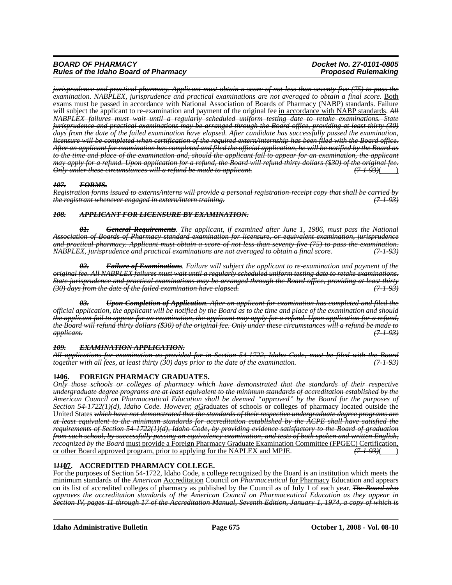# *BOARD OF PHARMACY Docket No. 27-0101-0805 Rules of the Idaho Board of Pharmacy*

*jurisprudence and practical pharmacy. Applicant must obtain a score of not less than seventy-five (75) to pass the examination. NABPLEX, jurisprudence and practical examinations are not averaged to obtain a final score.* Both exams must be passed in accordance with National Association of Boards of Pharmacy (NABP) standards. Failure will subject the applicant to re-examination and payment of the original fee in accordance with NABP standards. All *NABPLEX failures must wait until a regularly scheduled uniform testing date to retake examinations. State jurisprudence and practical examinations may be arranged through the Board office, providing at least thirty (30) days from the date of the failed examination have elapsed. After candidate has successfully passed the examination, licensure will be completed when certification of the required extern/internship has been filed with the Board office. After an applicant for examination has completed and filed the official application, he will be notified by the Board as to the time and place of the examination and, should the applicant fail to appear for an examination, the applicant may apply for a refund. Upon application for a refund, the Board will refund thirty dollars (\$30) of the original fee. Only under these circumstances will a refund be made to applicant. (7-1-93)*( )

# *107. FORMS.*

*Registration forms issued to externs/interns will provide a personal registration-receipt copy that shall be carried by the registrant whenever engaged in extern/intern training.* 

### *108. APPLICANT FOR LICENSURE BY EXAMINATION.*

*01. General Requirements. The applicant, if examined after June 1, 1986, must pass the National Association of Boards of Pharmacy standard examination for licensure, or equivalent examination, jurisprudence and practical pharmacy. Applicant must obtain a score of not less than seventy-five (75) to pass the examination. NABPLEX, jurisprudence and practical examinations are not averaged to obtain a final score. (7-1-93)*

*02. Failure of Examinations. Failure will subject the applicant to re-examination and payment of the original fee. All NABPLEX failures must wait until a regularly scheduled uniform testing date to retake examinations. State jurisprudence and practical examinations may be arranged through the Board office, providing at least thirty (30) days from the date of the failed examination have elapsed. (7-1-93)*

*03. Upon Completion of Application. After an applicant for examination has completed and filed the official application, the applicant will be notified by the Board as to the time and place of the examination and should the applicant fail to appear for an examination, the applicant may apply for a refund. Upon application for a refund, the Board will refund thirty dollars (\$30) of the original fee. Only under these circumstances will a refund be made to applicant. (7-1-93)*

#### *109. EXAMINATION APPLICATION.*

*All applications for examination as provided for in Section 54-1722, Idaho Code, must be filed with the Board together with all fees, at least thirty (30) days prior to the date of the examination. (7-1-93)*

# **1***1***06. FOREIGN PHARMACY GRADUATES.**

*Only those schools or colleges of pharmacy which have demonstrated that the standards of their respective undergraduate degree programs are at least equivalent to the minimum standards of accreditation established by the American Council on Pharmaceutical Education shall be deemed "approved" by the Board for the purposes of Section 54-1722(1)(d), Idaho Code. However, g*Graduates of schools or colleges of pharmacy located outside the United States *which have not demonstrated that the standards of their respective undergraduate degree programs are at least equivalent to the minimum standards for accreditation established by the ACPE shall have satisfied the requirements of Section 54-1722(1)(d), Idaho Code, by providing evidence satisfactory to the Board of graduation from such school, by successfully passing an equivalency examination, and tests of both spoken and written English, recognized by the Board* must provide a Foreign Pharmacy Graduate Examination Committee (FPGEC) Certification, or other Board approved program, prior to applying for the NAPLEX and MPJE.  $(7193)($ or other Board approved program, prior to applying for the NAPLEX and MPJE. *(7-1-93)*( )

# **1***11***07. ACCREDITED PHARMACY COLLEGE.**

For the purposes of Section 54-1722, Idaho Code, a college recognized by the Board is an institution which meets the minimum standards of the *American* Accreditation Council *on Pharmaceutical* for Pharmacy Education and appears on its list of accredited colleges of pharmacy as published by the Council as of July 1 of each year. *The Board also approves the accreditation standards of the American Council on Pharmaceutical Education as they appear in Section IV, pages 11 through 17 of the Accreditation Manual, Seventh Edition, January 1, 1974, a copy of which is*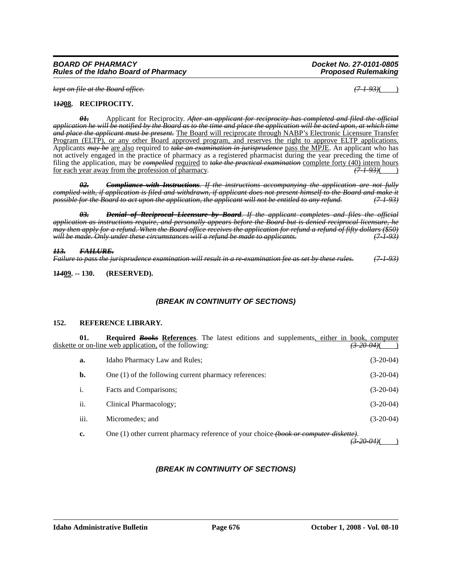*kept on file at the Board office. (7-1-93)*( )

### **1***12***08. RECIPROCITY.**

*01.* Applicant for Reciprocity. *After an applicant for reciprocity has completed and filed the official application he will be notified by the Board as to the time and place the application will be acted upon, at which time and place the applicant must be present.* The Board will reciprocate through NABP's Electronic Licensure Transfer Program (ELTP), or any other Board approved program, and reserves the right to approve ELTP applications. Applicants *may be* are also required to *take an examination in jurisprudence* pass the MPJE. An applicant who has not actively engaged in the practice of pharmacy as a registered pharmacist during the year preceding the time of filing the application, may be *compelled* required to *take the practical examination* complete forty (40) intern hours for each year away from the profession of pharmacy. *(7-1-93)*( )

*02. Compliance with Instructions. If the instructions accompanying the application are not fully complied with, if application is filed and withdrawn, if applicant does not present himself to the Board and make it possible for the Board to act upon the application, the applicant will not be entitled to any refund.* 

*03. Denial of Reciprocal Licensure by Board. If the applicant completes and files the official application as instructions require, and personally appears before the Board but is denied reciprocal licensure, he may then apply for a refund. When the Board office receives the application for refund a refund of fifty dollars (\$50) will be made. Only under these circumstances will a refund be made to applicants. (7-1-93)*

# *113. FAILURE.*

*Failure to pass the jurisprudence examination will result in a re-examination fee as set by these rules. (7-1-93)*

**1***14***09. -- 130. (RESERVED).**

# *(BREAK IN CONTINUITY OF SECTIONS)*

#### **152. REFERENCE LIBRARY.**

**01.** Required *Books* References. The latest editions and supplements, either in book, computer or on-line web application, of the following: diskette or on-line web application, of the following:

| a.   | Idaho Pharmacy Law and Rules;                                                        | $(3-20-04)$ |
|------|--------------------------------------------------------------------------------------|-------------|
| b.   | One (1) of the following current pharmacy references:                                | $(3-20-04)$ |
| 1.   | Facts and Comparisons;                                                               | $(3-20-04)$ |
| ii.  | Clinical Pharmacology;                                                               | $(3-20-04)$ |
| iii. | Micromedex; and                                                                      | $(3-20-04)$ |
| c.   | One (1) other current pharmacy reference of your choice (book or computer diskette). |             |

# *(BREAK IN CONTINUITY OF SECTIONS)*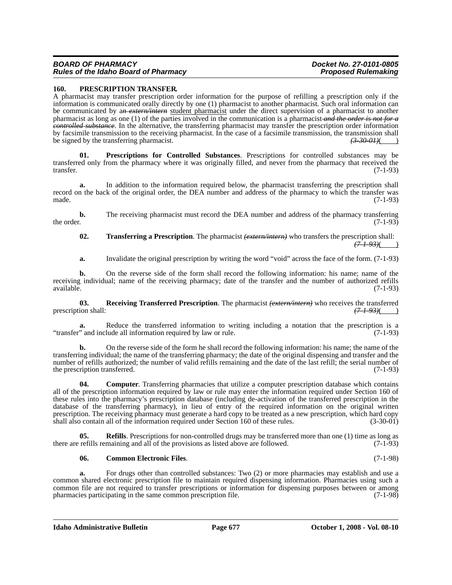#### *BOARD OF PHARMACY Docket No. 27-0101-0805 Rules of the Idaho Board of Pharmacy*

#### **160. PRESCRIPTION TRANSFER.**

A pharmacist may transfer prescription order information for the purpose of refilling a prescription only if the information is communicated orally directly by one (1) pharmacist to another pharmacist. Such oral information can be communicated by a*n extern/intern* student pharmacist under the direct supervision of a pharmacist to another pharmacist as long as one (1) of the parties involved in the communication is a pharmacist *and the order is not for a controlled substance*. In the alternative, the transferring pharmacist may transfer the prescription order information by facsimile transmission to the receiving pharmacist. In the case of a facsimile transmission, the transmission shall<br>be signed by the transferring pharmacist. be signed by the transferring pharmacist.<sup>7</sup>

**Prescriptions for Controlled Substances**. Prescriptions for controlled substances may be transferred only from the pharmacy where it was originally filled, and never from the pharmacy that received the transfer. (7-1-93)

**a.** In addition to the information required below, the pharmacist transferring the prescription shall record on the back of the original order, the DEA number and address of the pharmacy to which the transfer was made. (7-1-93) made.  $(7-1-93)$ 

**b.** The receiving pharmacist must record the DEA number and address of the pharmacy transferring the order.  $(7-1-93)$ 

#### **02. Transferring a Prescription**. The pharmacist *(extern/intern)* who transfers the prescription shall:  $(7 - 1 - 93)$ ()

**a.** Invalidate the original prescription by writing the word "void" across the face of the form. (7-1-93)

**b.** On the reverse side of the form shall record the following information: his name; name of the receiving individual; name of the receiving pharmacy; date of the transfer and the number of authorized refills available. (7-1-93) available. (7-1-93)

**03. Receiving Transferred Prescription**. The pharmacist *(extern/intern)* who receives the transferred prescription shall: *(7-1-93)*( )

**a.** Reduce the transferred information to writing including a notation that the prescription is a "transfer" and include all information required by law or rule. (7-1-93)

**b.** On the reverse side of the form he shall record the following information: his name; the name of the transferring individual; the name of the transferring pharmacy; the date of the original dispensing and transfer and the number of refills authorized; the number of valid refills remaining and the date of the last refill; the serial number of the prescription transferred. (7-1-93)

**04.** Computer. Transferring pharmacies that utilize a computer prescription database which contains all of the prescription information required by law or rule may enter the information required under Section 160 of these rules into the pharmacy's prescription database (including de-activation of the transferred prescription in the database of the transferring pharmacy), in lieu of entry of the required information on the original written prescription. The receiving pharmacy must generate a hard copy to be treated as a new prescription, which hard copy shall also contain all of the information required under Section 160 of these rules. (3-30-01) shall also contain all of the information required under Section 160 of these rules.

**Refills**. Prescriptions for non-controlled drugs may be transferred more than one (1) time as long as there are refills remaining and all of the provisions as listed above are followed. (7-1-93)

#### **06. Common Electronic Files**. (7-1-98)

**a.** For drugs other than controlled substances: Two (2) or more pharmacies may establish and use a common shared electronic prescription file to maintain required dispensing information. Pharmacies using such a common file are not required to transfer prescriptions or information for dispensing purposes between or among<br>pharmacies participating in the same common prescription file. (7-1-98) pharmacies participating in the same common prescription file.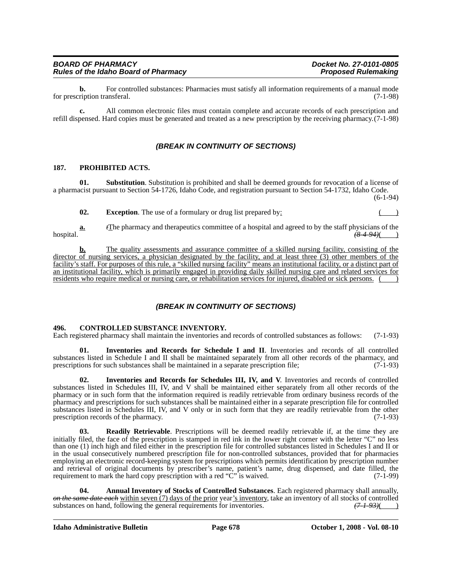| BOARD OF PHARMACY                    | Docket No. 27-0101-0805    |
|--------------------------------------|----------------------------|
| Rules of the Idaho Board of Pharmacy | <b>Proposed Rulemaking</b> |

**b.** For controlled substances: Pharmacies must satisfy all information requirements of a manual mode ription transferal. (7-1-98) for prescription transferal.

**c.** All common electronic files must contain complete and accurate records of each prescription and refill dispensed. Hard copies must be generated and treated as a new prescription by the receiving pharmacy.(7-1-98)

# *(BREAK IN CONTINUITY OF SECTIONS)*

#### **187. PROHIBITED ACTS.**

**01.** Substitution. Substitution is prohibited and shall be deemed grounds for revocation of a license of a pharmacist pursuant to Section 54-1726, Idaho Code, and registration pursuant to Section 54-1732, Idaho Code.

(6-1-94)

**02.** Exception. The use of a formulary or drug list prepared by:

**a.** *t*The pharmacy and therapeutics committee of a hospital and agreed to by the staff physicians of the hospital. *(8-4-94)*( )

**b.** The quality assessments and assurance committee of a skilled nursing facility, consisting of the director of nursing services, a physician designated by the facility, and at least three (3) other members of the facility's staff. For purposes of this rule, a "skilled nursing facility" means an institutional facility, or a distinct part of an institutional facility, which is primarily engaged in providing daily skilled nursing care and related services for residents who require medical or nursing care, or rehabilitation services for injured, disabled or sick persons.

# *(BREAK IN CONTINUITY OF SECTIONS)*

#### **496. CONTROLLED SUBSTANCE INVENTORY.**

Each registered pharmacy shall maintain the inventories and records of controlled substances as follows: (7-1-93)

**01. Inventories and Records for Schedule I and II**. Inventories and records of all controlled substances listed in Schedule I and II shall be maintained separately from all other records of the pharmacy, and prescriptions for such substances shall be maintained in a separate prescription file: (7-1-93) prescriptions for such substances shall be maintained in a separate prescription file;

**02. Inventories and Records for Schedules III, IV, and V**. Inventories and records of controlled substances listed in Schedules III, IV, and V shall be maintained either separately from all other records of the pharmacy or in such form that the information required is readily retrievable from ordinary business records of the pharmacy and prescriptions for such substances shall be maintained either in a separate prescription file for controlled substances listed in Schedules III, IV, and V only or in such form that they are readily retrievable from the other prescription records of the pharmacy. (7-1-93)

**03. Readily Retrievable**. Prescriptions will be deemed readily retrievable if, at the time they are initially filed, the face of the prescription is stamped in red ink in the lower right corner with the letter "C" no less than one (1) inch high and filed either in the prescription file for controlled substances listed in Schedules I and II or in the usual consecutively numbered prescription file for non-controlled substances, provided that for pharmacies employing an electronic record-keeping system for prescriptions which permits identification by prescription number and retrieval of original documents by prescriber's name, patient's name, drug dispensed, and date filled, the requirement to mark the hard copy prescription with a red "C" is waived. (7-1-99)

**04. Annual Inventory of Stocks of Controlled Substances**. Each registered pharmacy shall annually, *on the same date each* within seven (7) days of the prior year's inventory, take an inventory of all stocks of controlled substances on hand, following the general requirements for inventories.  $(7-1-93)$  (2) substances on hand, following the general requirements for inventories.